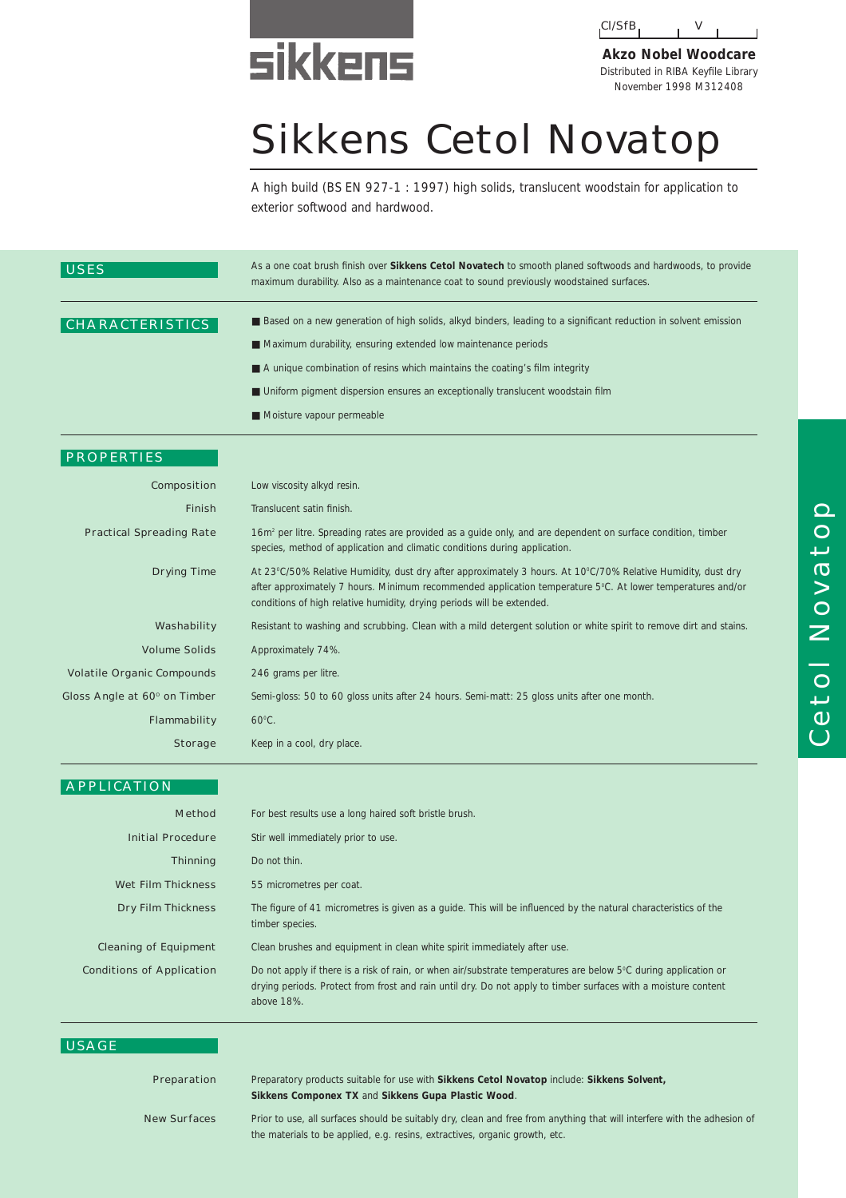# **sikkens**



**Akzo Nobel Woodcare** Distributed in RIBA Keyfile Library November 1998 M312408

## Sikkens Cetol Novatop

A high build (BS EN 927-1 : 1997) high solids, translucent woodstain for application to exterior softwood and hardwood.

| <b>USES</b>                       | As a one coat brush finish over Sikkens Cetol Novatech to smooth planed softwoods and hardwoods, to provide<br>maximum durability. Also as a maintenance coat to sound previously woodstained surfaces.                                                                                                                                                                            |  |  |
|-----------------------------------|------------------------------------------------------------------------------------------------------------------------------------------------------------------------------------------------------------------------------------------------------------------------------------------------------------------------------------------------------------------------------------|--|--|
| <b>CHARACTERISTICS</b>            | ■ Based on a new generation of high solids, alkyd binders, leading to a significant reduction in solvent emission<br>Maximum durability, ensuring extended low maintenance periods<br>A unique combination of resins which maintains the coating's film integrity<br>■ Uniform pigment dispersion ensures an exceptionally translucent woodstain film<br>Moisture vapour permeable |  |  |
| <b>PROPERTIES</b>                 |                                                                                                                                                                                                                                                                                                                                                                                    |  |  |
| Composition                       | Low viscosity alkyd resin.                                                                                                                                                                                                                                                                                                                                                         |  |  |
| <b>Finish</b>                     | Translucent satin finish.                                                                                                                                                                                                                                                                                                                                                          |  |  |
| <b>Practical Spreading Rate</b>   | 16m <sup>2</sup> per litre. Spreading rates are provided as a quide only, and are dependent on surface condition, timber<br>species, method of application and climatic conditions during application.                                                                                                                                                                             |  |  |
| <b>Drying Time</b>                | At 23°C/50% Relative Humidity, dust dry after approximately 3 hours. At 10°C/70% Relative Humidity, dust dry<br>after approximately 7 hours. Minimum recommended application temperature 5°C. At lower temperatures and/or<br>conditions of high relative humidity, drying periods will be extended.                                                                               |  |  |
| Washability                       | Resistant to washing and scrubbing. Clean with a mild detergent solution or white spirit to remove dirt and stains.                                                                                                                                                                                                                                                                |  |  |
| <b>Volume Solids</b>              | Approximately 74%.                                                                                                                                                                                                                                                                                                                                                                 |  |  |
| <b>Volatile Organic Compounds</b> | 246 grams per litre.                                                                                                                                                                                                                                                                                                                                                               |  |  |
| Gloss Angle at 60° on Timber      | Semi-gloss: 50 to 60 gloss units after 24 hours. Semi-matt: 25 gloss units after one month.                                                                                                                                                                                                                                                                                        |  |  |
| Flammability                      | $60^{\circ}$ C.                                                                                                                                                                                                                                                                                                                                                                    |  |  |

| <b>APPLICATION</b>               |                                                                                                                                                                                                                                                 |  |  |
|----------------------------------|-------------------------------------------------------------------------------------------------------------------------------------------------------------------------------------------------------------------------------------------------|--|--|
| <b>Method</b>                    | For best results use a long haired soft bristle brush.                                                                                                                                                                                          |  |  |
| <b>Initial Procedure</b>         | Stir well immediately prior to use.                                                                                                                                                                                                             |  |  |
| <b>Thinning</b>                  | Do not thin.                                                                                                                                                                                                                                    |  |  |
| <b>Wet Film Thickness</b>        | 55 micrometres per coat.                                                                                                                                                                                                                        |  |  |
| <b>Dry Film Thickness</b>        | The figure of 41 micrometres is given as a guide. This will be influenced by the natural characteristics of the<br>timber species.                                                                                                              |  |  |
| <b>Cleaning of Equipment</b>     | Clean brushes and equipment in clean white spirit immediately after use.                                                                                                                                                                        |  |  |
| <b>Conditions of Application</b> | Do not apply if there is a risk of rain, or when air/substrate temperatures are below 5°C during application or<br>drying periods. Protect from frost and rain until dry. Do not apply to timber surfaces with a moisture content<br>above 18%. |  |  |

#### USAGE

#### Preparation

**Storage** 

Keep in a cool, dry place.

#### Preparatory products suitable for use with **Sikkens Cetol Novatop** include: **Sikkens Solvent, Sikkens Componex TX** and **Sikkens Gupa Plastic Wood**.

New Surfaces

Prior to use, all surfaces should be suitably dry, clean and free from anything that will interfere with the adhesion of the materials to be applied, e.g. resins, extractives, organic growth, etc.